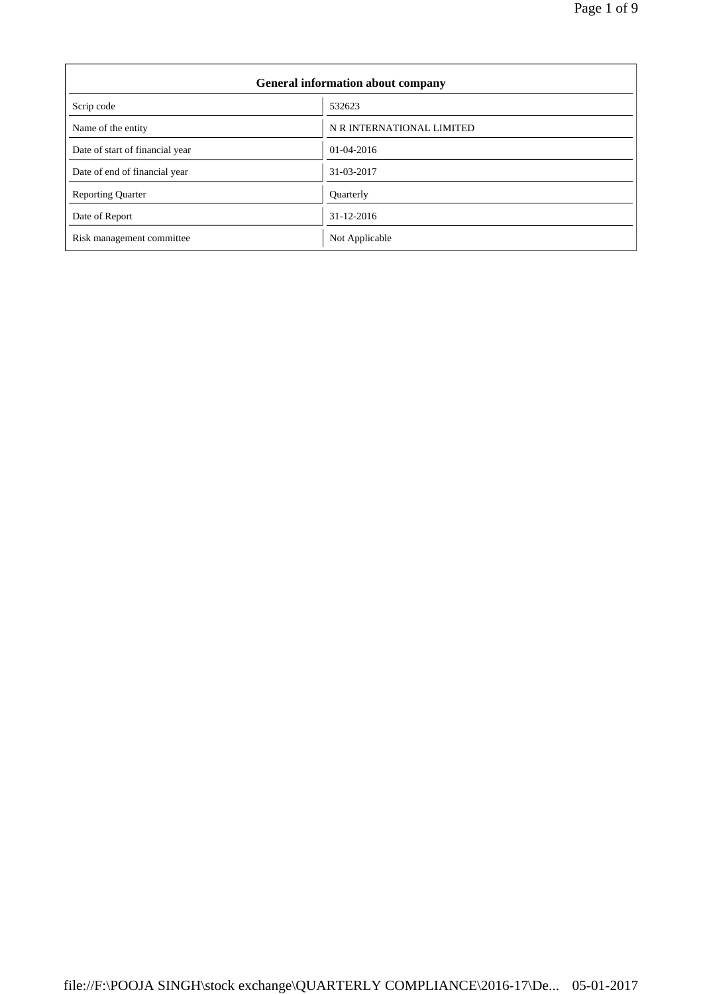$\overline{\phantom{0}}$ 

| <b>General information about company</b> |                           |  |
|------------------------------------------|---------------------------|--|
| Scrip code                               | 532623                    |  |
| Name of the entity                       | N R INTERNATIONAL LIMITED |  |
| Date of start of financial year          | $01-04-2016$              |  |
| Date of end of financial year            | 31-03-2017                |  |
| <b>Reporting Quarter</b>                 | Quarterly                 |  |
| Date of Report                           | 31-12-2016                |  |
| Risk management committee                | Not Applicable            |  |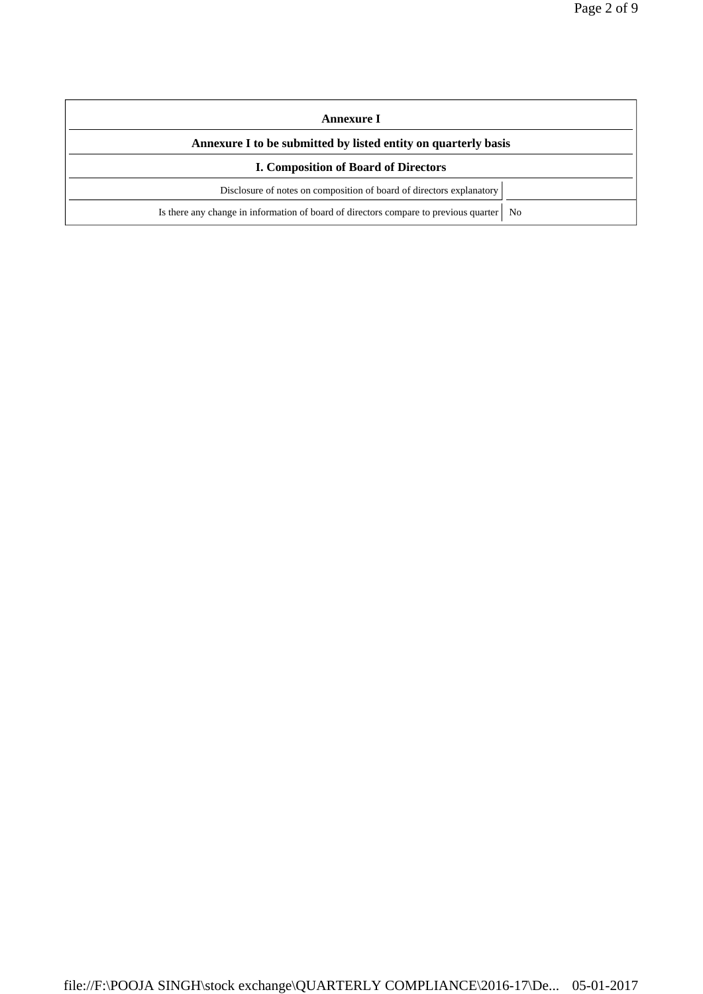| Annexure I                                                                                 |  |  |  |
|--------------------------------------------------------------------------------------------|--|--|--|
| Annexure I to be submitted by listed entity on quarterly basis                             |  |  |  |
| <b>I. Composition of Board of Directors</b>                                                |  |  |  |
| Disclosure of notes on composition of board of directors explanatory                       |  |  |  |
| Is there any change in information of board of directors compare to previous quarter<br>No |  |  |  |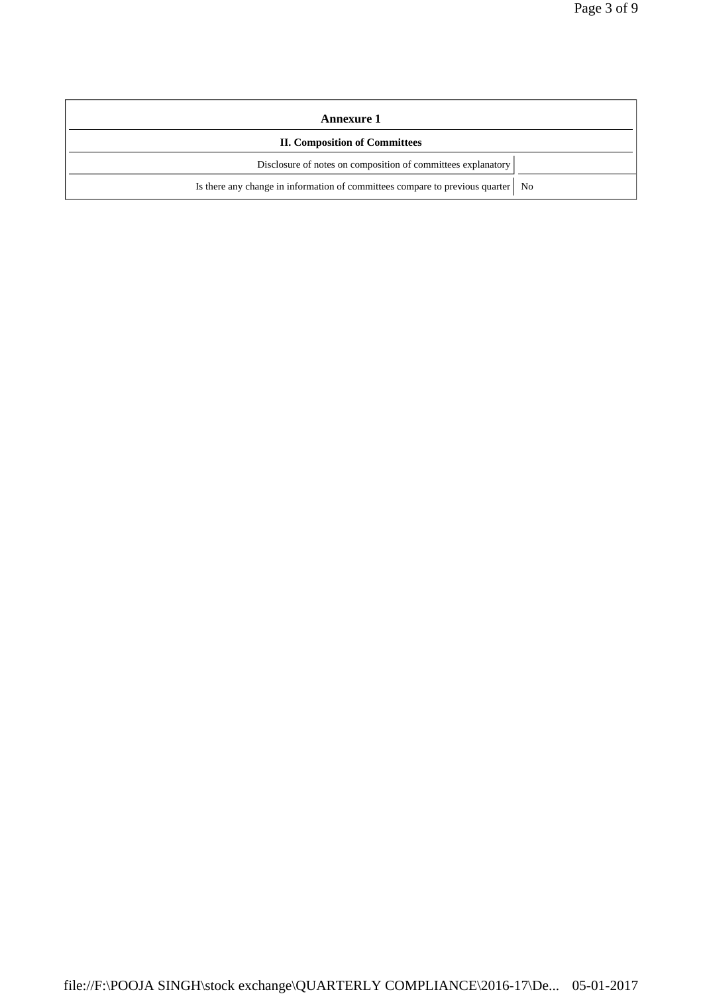| <b>Annexure 1</b>                                                                 |  |  |
|-----------------------------------------------------------------------------------|--|--|
| <b>II. Composition of Committees</b>                                              |  |  |
| Disclosure of notes on composition of committees explanatory                      |  |  |
| Is there any change in information of committees compare to previous quarter   No |  |  |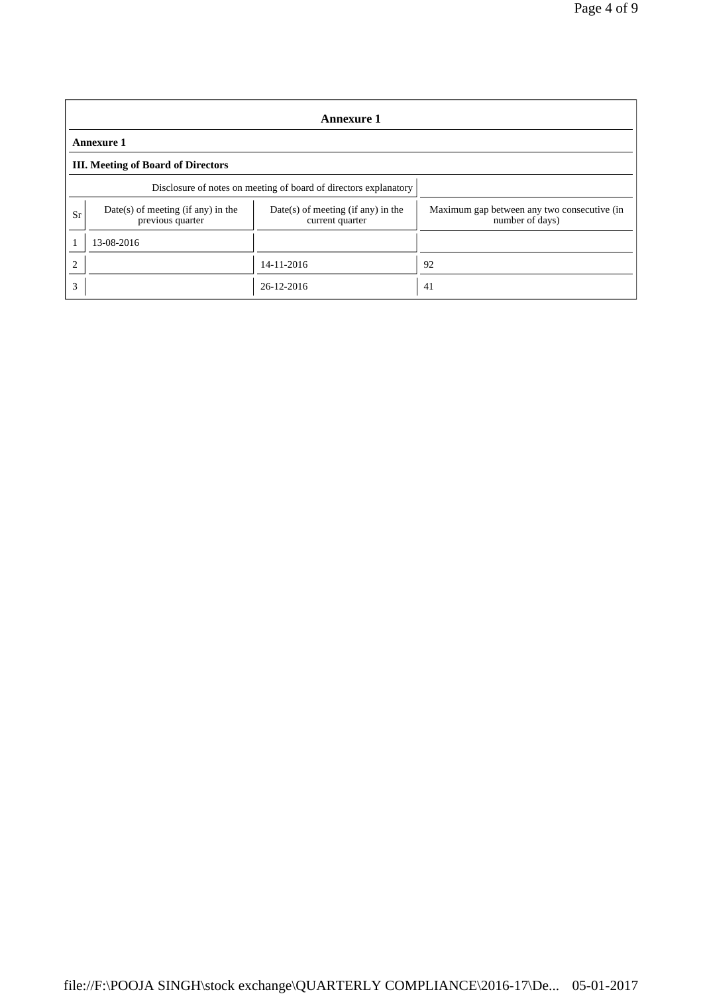| <b>Annexure 1</b> |                                                                  |                                                         |                                                                |  |  |
|-------------------|------------------------------------------------------------------|---------------------------------------------------------|----------------------------------------------------------------|--|--|
|                   | <b>Annexure 1</b>                                                |                                                         |                                                                |  |  |
|                   | <b>III.</b> Meeting of Board of Directors                        |                                                         |                                                                |  |  |
|                   | Disclosure of notes on meeting of board of directors explanatory |                                                         |                                                                |  |  |
| Sr                | $Date(s)$ of meeting (if any) in the<br>previous quarter         | $Date(s)$ of meeting (if any) in the<br>current quarter | Maximum gap between any two consecutive (in<br>number of days) |  |  |
|                   | 13-08-2016                                                       |                                                         |                                                                |  |  |
| $\overline{2}$    |                                                                  | 14-11-2016                                              | 92                                                             |  |  |
| 3                 |                                                                  | 26-12-2016                                              | 41                                                             |  |  |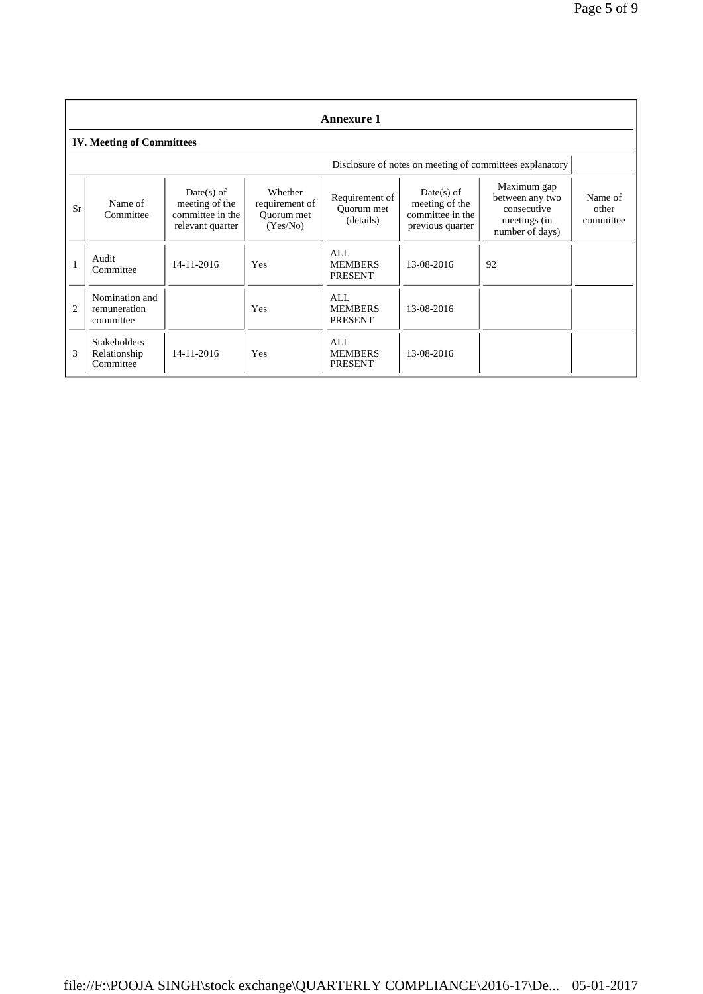|                | <b>Annexure 1</b>                                |                                                                        |                                                     |                                           |                                                                        |                                                                                  |                               |
|----------------|--------------------------------------------------|------------------------------------------------------------------------|-----------------------------------------------------|-------------------------------------------|------------------------------------------------------------------------|----------------------------------------------------------------------------------|-------------------------------|
|                | <b>IV. Meeting of Committees</b>                 |                                                                        |                                                     |                                           |                                                                        |                                                                                  |                               |
|                |                                                  |                                                                        |                                                     |                                           |                                                                        | Disclosure of notes on meeting of committees explanatory                         |                               |
| Sr             | Name of<br>Committee                             | $Date(s)$ of<br>meeting of the<br>committee in the<br>relevant quarter | Whether<br>requirement of<br>Ouorum met<br>(Yes/No) | Requirement of<br>Ouorum met<br>(details) | $Date(s)$ of<br>meeting of the<br>committee in the<br>previous quarter | Maximum gap<br>between any two<br>consecutive<br>meetings (in<br>number of days) | Name of<br>other<br>committee |
|                | Audit<br>Committee                               | 14-11-2016                                                             | Yes                                                 | AI.<br><b>MEMBERS</b><br><b>PRESENT</b>   | 13-08-2016                                                             | 92                                                                               |                               |
| $\overline{c}$ | Nomination and<br>remuneration<br>committee      |                                                                        | Yes                                                 | ALL<br><b>MEMBERS</b><br><b>PRESENT</b>   | 13-08-2016                                                             |                                                                                  |                               |
| 3              | <b>Stakeholders</b><br>Relationship<br>Committee | 14-11-2016                                                             | Yes                                                 | ALL<br><b>MEMBERS</b><br><b>PRESENT</b>   | 13-08-2016                                                             |                                                                                  |                               |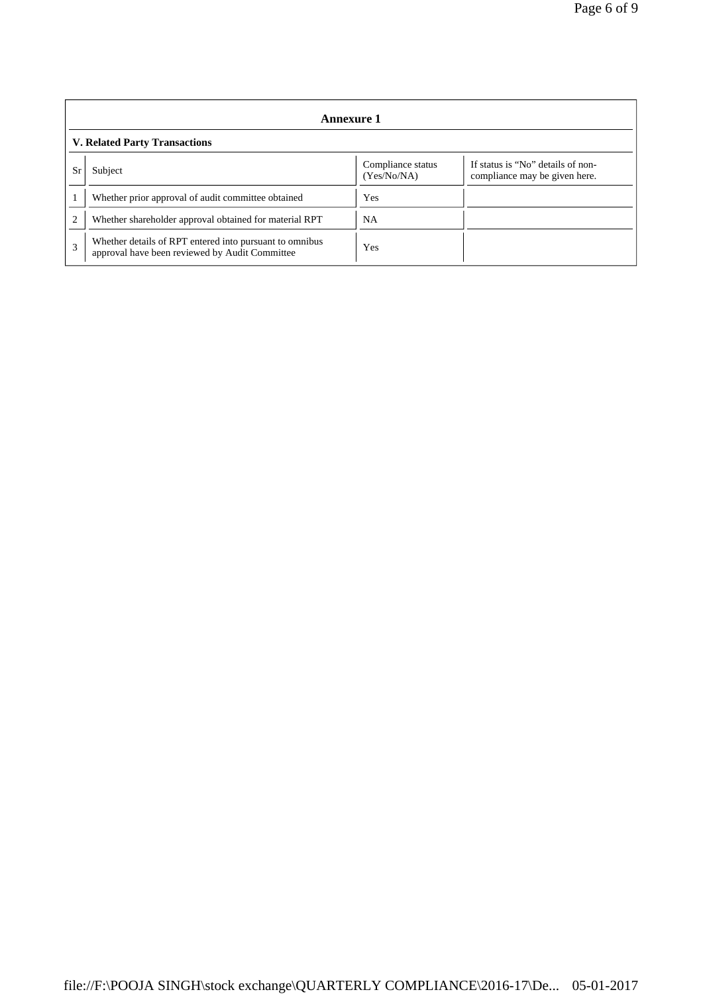| Annexure 1                           |                                                                                                           |                                  |                                                                    |  |
|--------------------------------------|-----------------------------------------------------------------------------------------------------------|----------------------------------|--------------------------------------------------------------------|--|
| <b>V. Related Party Transactions</b> |                                                                                                           |                                  |                                                                    |  |
| Sr                                   | Subject                                                                                                   | Compliance status<br>(Yes/No/NA) | If status is "No" details of non-<br>compliance may be given here. |  |
|                                      | Whether prior approval of audit committee obtained                                                        | Yes                              |                                                                    |  |
| $\overline{c}$                       | Whether shareholder approval obtained for material RPT                                                    | <b>NA</b>                        |                                                                    |  |
| 3                                    | Whether details of RPT entered into pursuant to omnibus<br>approval have been reviewed by Audit Committee | Yes                              |                                                                    |  |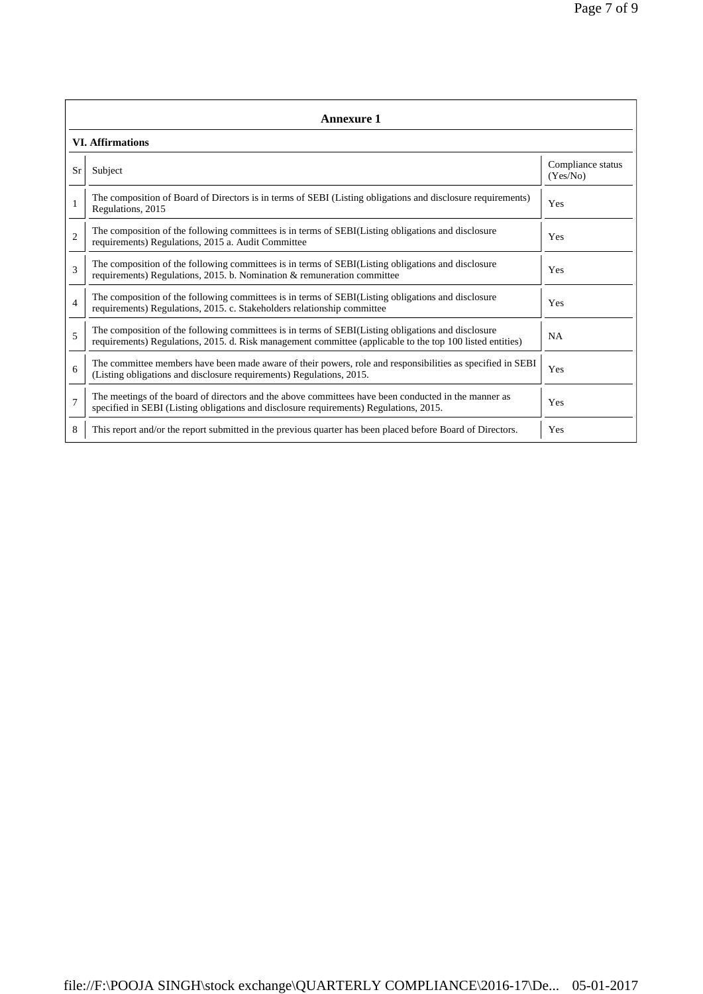|                         | <b>Annexure 1</b>                                                                                                                                                                                               |                               |  |  |  |
|-------------------------|-----------------------------------------------------------------------------------------------------------------------------------------------------------------------------------------------------------------|-------------------------------|--|--|--|
| <b>VI.</b> Affirmations |                                                                                                                                                                                                                 |                               |  |  |  |
| <b>Sr</b>               | Subject                                                                                                                                                                                                         | Compliance status<br>(Yes/No) |  |  |  |
|                         | The composition of Board of Directors is in terms of SEBI (Listing obligations and disclosure requirements)<br>Regulations, 2015                                                                                | Yes                           |  |  |  |
| $\overline{c}$          | The composition of the following committees is in terms of SEBI(Listing obligations and disclosure<br>requirements) Regulations, 2015 a. Audit Committee                                                        | Yes                           |  |  |  |
| 3                       | The composition of the following committees is in terms of SEBI(Listing obligations and disclosure<br>requirements) Regulations, 2015. b. Nomination & remuneration committee                                   | Yes                           |  |  |  |
| $\overline{4}$          | The composition of the following committees is in terms of SEBI(Listing obligations and disclosure<br>requirements) Regulations, 2015. c. Stakeholders relationship committee                                   | Yes                           |  |  |  |
| 5                       | The composition of the following committees is in terms of SEBI(Listing obligations and disclosure<br>requirements) Regulations, 2015. d. Risk management committee (applicable to the top 100 listed entities) | <b>NA</b>                     |  |  |  |
| 6                       | The committee members have been made aware of their powers, role and responsibilities as specified in SEBI<br>(Listing obligations and disclosure requirements) Regulations, 2015.                              | Yes                           |  |  |  |
| $\overline{7}$          | The meetings of the board of directors and the above committees have been conducted in the manner as<br>specified in SEBI (Listing obligations and disclosure requirements) Regulations, 2015.                  | Yes                           |  |  |  |
| 8                       | This report and/or the report submitted in the previous quarter has been placed before Board of Directors.                                                                                                      | Yes                           |  |  |  |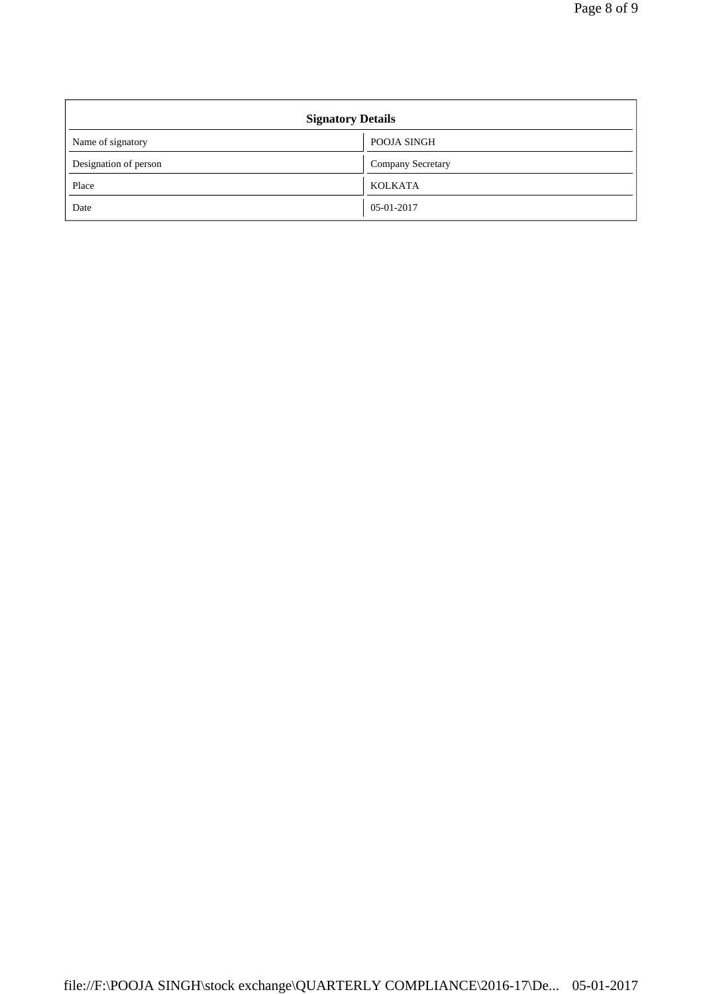| <b>Signatory Details</b> |                          |  |
|--------------------------|--------------------------|--|
| Name of signatory        | POOJA SINGH              |  |
| Designation of person    | <b>Company Secretary</b> |  |
| Place                    | <b>KOLKATA</b>           |  |
| Date                     | 05-01-2017               |  |